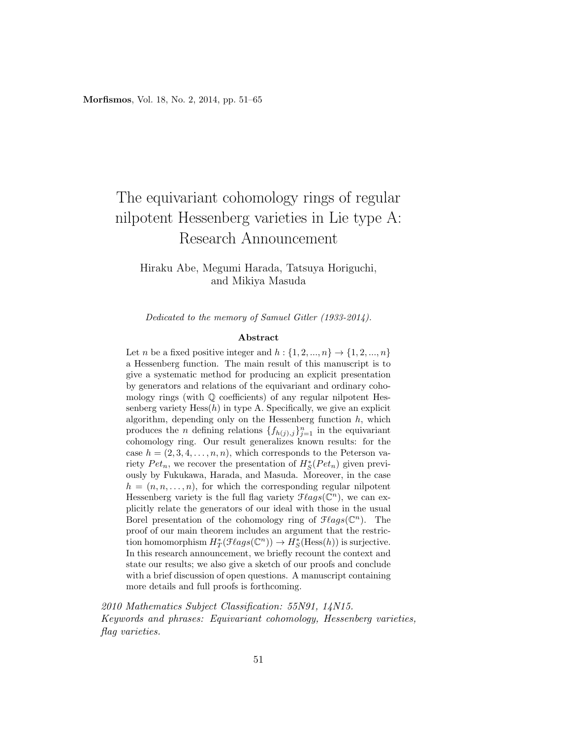# The equivariant cohomology rings of regular nilpotent Hessenberg varieties in Lie type A: Research Announcement

Hiraku Abe, Megumi Harada, Tatsuya Horiguchi, and Mikiya Masuda

Dedicated to the memory of Samuel Gitler (1933-2014).

#### Abstract

Let n be a fixed positive integer and  $h: \{1, 2, ..., n\} \rightarrow \{1, 2, ..., n\}$ a Hessenberg function. The main result of this manuscript is to give a systematic method for producing an explicit presentation by generators and relations of the equivariant and ordinary cohomology rings (with Q coefficients) of any regular nilpotent Hessenberg variety  $Hess(h)$  in type A. Specifically, we give an explicit algorithm, depending only on the Hessenberg function  $h$ , which produces the *n* defining relations  $\{f_{h(j),j}\}_{j=1}^n$  in the equivariant cohomology ring. Our result generalizes known results: for the case  $h = (2, 3, 4, \ldots, n, n)$ , which corresponds to the Peterson variety  $Pet_n$ , we recover the presentation of  $H_S^*(Pet_n)$  given previously by Fukukawa, Harada, and Masuda. Moreover, in the case  $h = (n, n, \ldots, n)$ , for which the corresponding regular nilpotent Hessenberg variety is the full flag variety  $\mathcal{F} \ell agg(\mathbb{C}^n)$ , we can explicitly relate the generators of our ideal with those in the usual Borel presentation of the cohomology ring of  $\mathcal{F} \ellags(\mathbb{C}^n)$ . The proof of our main theorem includes an argument that the restriction homomorphism  $H^*_T(\mathcal{F} \ellags(\mathbb{C}^n)) \to H^*_S(\text{Hess}(h))$  is surjective. In this research announcement, we briefly recount the context and state our results; we also give a sketch of our proofs and conclude with a brief discussion of open questions. A manuscript containing more details and full proofs is forthcoming.

2010 Mathematics Subject Classification: 55N91, 14N15. Keywords and phrases: Equivariant cohomology, Hessenberg varieties, flag varieties.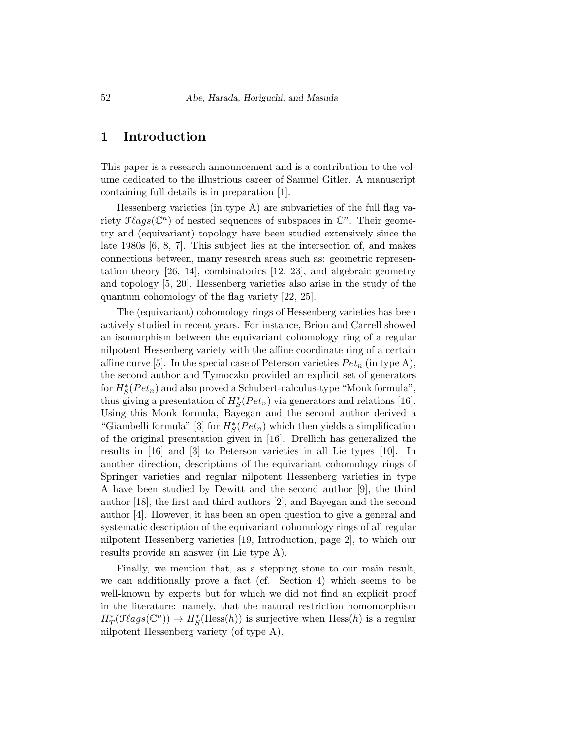## 1 Introduction

This paper is a research announcement and is a contribution to the volume dedicated to the illustrious career of Samuel Gitler. A manuscript containing full details is in preparation [1].

Hessenberg varieties (in type A) are subvarieties of the full flag variety  $\mathcal{F} \ellags(\mathbb{C}^n)$  of nested sequences of subspaces in  $\mathbb{C}^n$ . Their geometry and (equivariant) topology have been studied extensively since the late 1980s [6, 8, 7]. This subject lies at the intersection of, and makes connections between, many research areas such as: geometric representation theory [26, 14], combinatorics [12, 23], and algebraic geometry and topology [5, 20]. Hessenberg varieties also arise in the study of the quantum cohomology of the flag variety [22, 25].

The (equivariant) cohomology rings of Hessenberg varieties has been actively studied in recent years. For instance, Brion and Carrell showed an isomorphism between the equivariant cohomology ring of a regular nilpotent Hessenberg variety with the affine coordinate ring of a certain affine curve [5]. In the special case of Peterson varieties  $Pet_n$  (in type A), the second author and Tymoczko provided an explicit set of generators for  $H_S^*(Pet_n)$  and also proved a Schubert-calculus-type "Monk formula", thus giving a presentation of  $H_S^*(Pet_n)$  via generators and relations [16]. Using this Monk formula, Bayegan and the second author derived a "Giambelli formula" [3] for  $H_S^*(Pet_n)$  which then yields a simplification of the original presentation given in [16]. Drellich has generalized the results in [16] and [3] to Peterson varieties in all Lie types [10]. In another direction, descriptions of the equivariant cohomology rings of Springer varieties and regular nilpotent Hessenberg varieties in type A have been studied by Dewitt and the second author [9], the third author [18], the first and third authors [2], and Bayegan and the second author [4]. However, it has been an open question to give a general and systematic description of the equivariant cohomology rings of all regular nilpotent Hessenberg varieties [19, Introduction, page 2], to which our results provide an answer (in Lie type A).

Finally, we mention that, as a stepping stone to our main result, we can additionally prove a fact (cf. Section 4) which seems to be well-known by experts but for which we did not find an explicit proof in the literature: namely, that the natural restriction homomorphism  $H^*_T(\mathcal{F} \ellags(\mathbb{C}^n)) \to H^*_S(\text{Hess}(h))$  is surjective when  $\text{Hess}(h)$  is a regular nilpotent Hessenberg variety (of type A).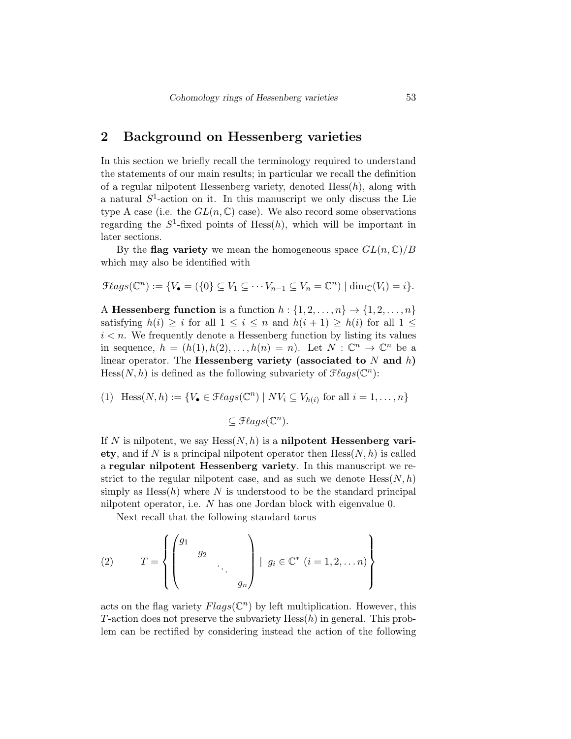# 2 Background on Hessenberg varieties

In this section we briefly recall the terminology required to understand the statements of our main results; in particular we recall the definition of a regular nilpotent Hessenberg variety, denoted  $Hess(h)$ , along with a natural  $S^1$ -action on it. In this manuscript we only discuss the Lie type A case (i.e. the  $GL(n,\mathbb{C})$  case). We also record some observations regarding the  $S^1$ -fixed points of Hess $(h)$ , which will be important in later sections.

By the flag variety we mean the homogeneous space  $GL(n,\mathbb{C})/B$ which may also be identified with

$$
\mathcal{F}lags(\mathbb{C}^n):=\{V_{\bullet}=(\{0\}\subseteq V_1\subseteq\cdots V_{n-1}\subseteq V_n=\mathbb{C}^n)\mid \dim_{\mathbb{C}}(V_i)=i\}.
$$

A Hessenberg function is a function  $h: \{1, 2, \ldots, n\} \rightarrow \{1, 2, \ldots, n\}$ satisfying  $h(i) \geq i$  for all  $1 \leq i \leq n$  and  $h(i+1) \geq h(i)$  for all  $1 \leq$  $i < n$ . We frequently denote a Hessenberg function by listing its values in sequence,  $h = (h(1), h(2), \ldots, h(n) = n)$ . Let  $N : \mathbb{C}^n \to \mathbb{C}^n$  be a linear operator. The **Hessenberg variety** (associated to  $N$  and  $h$ ) Hess $(N, h)$  is defined as the following subvariety of  $\mathcal{F} \ell agg(\mathbb{C}^n)$ :

(1) 
$$
\text{Hess}(N, h) := \{ V_{\bullet} \in \mathcal{F} \text{lags}(\mathbb{C}^n) \mid NV_i \subseteq V_{h(i)} \text{ for all } i = 1, ..., n \}
$$

$$
\subseteq \mathcal{F} \text{lags}(\mathbb{C}^n).
$$

If N is nilpotent, we say  $Hess(N, h)$  is a nilpotent Hessenberg variety, and if N is a principal nilpotent operator then  $Hess(N, h)$  is called a regular nilpotent Hessenberg variety. In this manuscript we restrict to the regular nilpotent case, and as such we denote  $Hess(N, h)$ simply as  $Hess(h)$  where N is understood to be the standard principal nilpotent operator, i.e. N has one Jordan block with eigenvalue 0.

Next recall that the following standard torus

(2) 
$$
T = \left\{ \begin{pmatrix} g_1 & & & \\ & g_2 & & \\ & & \ddots & \\ & & & g_n \end{pmatrix} \middle| g_i \in \mathbb{C}^* \ (i = 1, 2, \dots n) \right\}
$$

acts on the flag variety  $Flags(\mathbb{C}^n)$  by left multiplication. However, this T-action does not preserve the subvariety  $Hess(h)$  in general. This problem can be rectified by considering instead the action of the following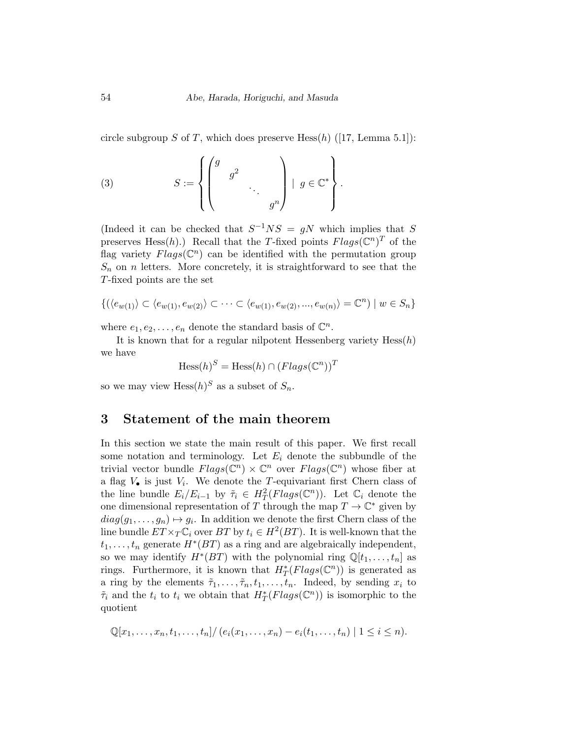circle subgroup S of T, which does preserve  $Hess(h)$  ([17, Lemma 5.1]):

(3) 
$$
S := \left\{ \begin{pmatrix} g & & & \\ & g^2 & & \\ & & \ddots & \\ & & & g^n \end{pmatrix} \middle| g \in \mathbb{C}^* \right\}.
$$

(Indeed it can be checked that  $S^{-1}NS = gN$  which implies that S preserves Hess $(h)$ .) Recall that the T-fixed points  $Flags(\mathbb{C}^n)^T$  of the flag variety  $Flags(\mathbb{C}^n)$  can be identified with the permutation group  $S_n$  on n letters. More concretely, it is straightforward to see that the T-fixed points are the set

$$
\{(\langle e_{w(1)}\rangle \subset \langle e_{w(1)}, e_{w(2)}\rangle \subset \cdots \subset \langle e_{w(1)}, e_{w(2)}, \dots, e_{w(n)}\rangle = \mathbb{C}^n) \mid w \in S_n\}
$$

where  $e_1, e_2, \ldots, e_n$  denote the standard basis of  $\mathbb{C}^n$ .

It is known that for a regular nilpotent Hessenberg variety  $Hess(h)$ we have

$$
\text{Hess}(h)^S = \text{Hess}(h) \cap (Flags(\mathbb{C}^n))^T
$$

so we may view  $Hess(h)^S$  as a subset of  $S_n$ .

### 3 Statement of the main theorem

In this section we state the main result of this paper. We first recall some notation and terminology. Let  $E_i$  denote the subbundle of the trivial vector bundle  $Flags(\mathbb{C}^n) \times \mathbb{C}^n$  over  $Flags(\mathbb{C}^n)$  whose fiber at a flag  $V_{\bullet}$  is just  $V_i$ . We denote the T-equivariant first Chern class of the line bundle  $E_i/E_{i-1}$  by  $\tilde{\tau}_i \in H^2_T(Flags(\mathbb{C}^n))$ . Let  $\mathbb{C}_i$  denote the one dimensional representation of T through the map  $T \to \mathbb{C}^*$  given by  $diag(g_1, \ldots, g_n) \mapsto g_i$ . In addition we denote the first Chern class of the line bundle  $ET \times_T \mathbb{C}_i$  over  $BT$  by  $t_i \in H^2(BT)$ . It is well-known that the  $t_1, \ldots, t_n$  generate  $H^*(BT)$  as a ring and are algebraically independent, so we may identify  $H^*(BT)$  with the polynomial ring  $\mathbb{Q}[t_1,\ldots,t_n]$  as rings. Furthermore, it is known that  $H^*_T(Flags(\mathbb{C}^n))$  is generated as a ring by the elements  $\tilde{\tau}_1, \ldots, \tilde{\tau}_n, t_1, \ldots, t_n$ . Indeed, by sending  $x_i$  to  $\tilde{\tau}_i$  and the  $t_i$  to  $t_i$  we obtain that  $H^*_T(Flags(\mathbb{C}^n))$  is isomorphic to the quotient

$$
\mathbb{Q}[x_1,\ldots,x_n,t_1,\ldots,t_n]/(e_i(x_1,\ldots,x_n)-e_i(t_1,\ldots,t_n))|1\leq i\leq n).
$$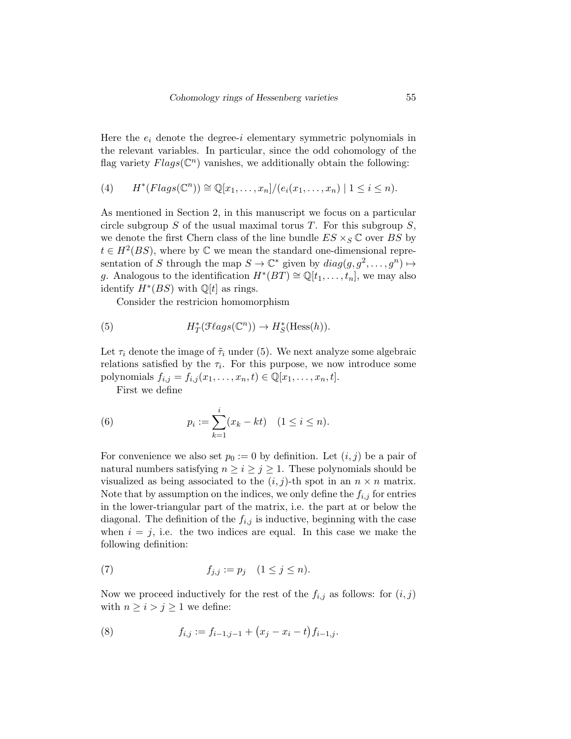Here the  $e_i$  denote the degree-i elementary symmetric polynomials in the relevant variables. In particular, since the odd cohomology of the flag variety  $Flags(\mathbb{C}^n)$  vanishes, we additionally obtain the following:

(4) 
$$
H^*(Flags(\mathbb{C}^n)) \cong \mathbb{Q}[x_1,\ldots,x_n]/(e_i(x_1,\ldots,x_n) \mid 1 \leq i \leq n).
$$

As mentioned in Section 2, in this manuscript we focus on a particular circle subgroup  $S$  of the usual maximal torus  $T$ . For this subgroup  $S$ , we denote the first Chern class of the line bundle  $ES \times_S \mathbb{C}$  over BS by  $t \in H^2(BS)$ , where by  $\mathbb C$  we mean the standard one-dimensional representation of S through the map  $S \to \mathbb{C}^*$  given by  $diag(g, g^2, \ldots, g^n) \mapsto$ g. Analogous to the identification  $H^*(BT) \cong \mathbb{Q}[t_1,\ldots,t_n]$ , we may also identify  $H^*(BS)$  with  $\mathbb{Q}[t]$  as rings.

Consider the restricion homomorphism

(5) 
$$
H^*_T(\mathcal{F} \ellags(\mathbb{C}^n)) \to H^*_S(\text{Hess}(h)).
$$

Let  $\tau_i$  denote the image of  $\tilde{\tau}_i$  under (5). We next analyze some algebraic relations satisfied by the  $\tau_i$ . For this purpose, we now introduce some polynomials  $f_{i,j} = f_{i,j}(x_1,\ldots,x_n,t) \in \mathbb{Q}[x_1,\ldots,x_n,t].$ 

First we define

(6) 
$$
p_i := \sum_{k=1}^i (x_k - kt) \quad (1 \le i \le n).
$$

For convenience we also set  $p_0 := 0$  by definition. Let  $(i, j)$  be a pair of natural numbers satisfying  $n \geq i \geq j \geq 1$ . These polynomials should be visualized as being associated to the  $(i, j)$ -th spot in an  $n \times n$  matrix. Note that by assumption on the indices, we only define the  $f_{i,j}$  for entries in the lower-triangular part of the matrix, i.e. the part at or below the diagonal. The definition of the  $f_{i,j}$  is inductive, beginning with the case when  $i = j$ , i.e. the two indices are equal. In this case we make the following definition:

$$
(7) \t f_{j,j} := p_j \t (1 \le j \le n).
$$

Now we proceed inductively for the rest of the  $f_{i,j}$  as follows: for  $(i, j)$ with  $n \geq i > j \geq 1$  we define:

(8) 
$$
f_{i,j} := f_{i-1,j-1} + (x_j - x_i - t) f_{i-1,j}.
$$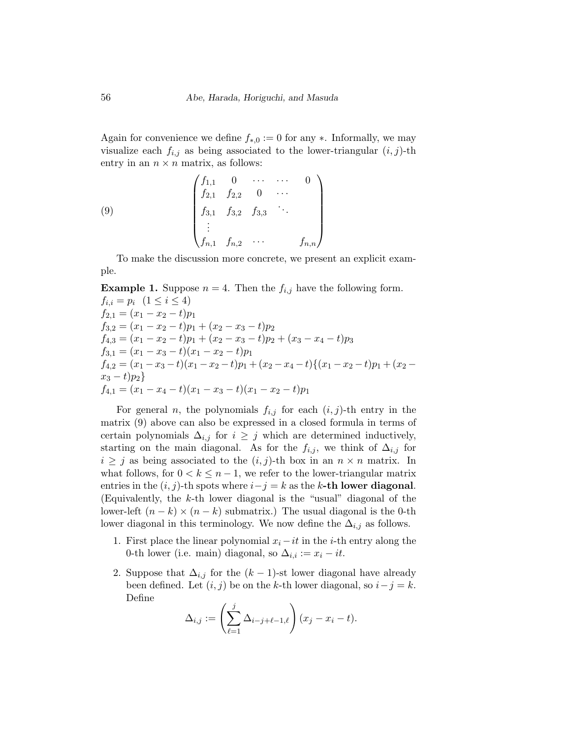Again for convenience we define  $f_{*,0} := 0$  for any  $*$ . Informally, we may visualize each  $f_{i,j}$  as being associated to the lower-triangular  $(i, j)$ -th entry in an  $n \times n$  matrix, as follows:

(9) 
$$
\begin{pmatrix} f_{1,1} & 0 & \cdots & \cdots & 0 \\ f_{2,1} & f_{2,2} & 0 & \cdots & \\ f_{3,1} & f_{3,2} & f_{3,3} & \cdots & \\ \vdots & \vdots & \ddots & \vdots & \\ f_{n,1} & f_{n,2} & \cdots & f_{n,n} \end{pmatrix}
$$

To make the discussion more concrete, we present an explicit example.

**Example 1.** Suppose  $n = 4$ . Then the  $f_{i,j}$  have the following form.  $f_{i,i} = p_i \ (1 \leq i \leq 4)$  $f_{2,1} = (x_1 - x_2 - t)p_1$  $f_{3,2} = (x_1 - x_2 - t)p_1 + (x_2 - x_3 - t)p_2$  $f_{4,3} = (x_1 - x_2 - t)p_1 + (x_2 - x_3 - t)p_2 + (x_3 - x_4 - t)p_3$  $f_{3,1} = (x_1 - x_3 - t)(x_1 - x_2 - t)p_1$  $f_{4,2} = (x_1 - x_3 - t)(x_1 - x_2 - t)p_1 + (x_2 - x_4 - t)\{(x_1 - x_2 - t)p_1 + (x_2 - t)p_2\}$  $x_3 - t)p_2$  $f_{4,1} = (x_1 - x_4 - t)(x_1 - x_3 - t)(x_1 - x_2 - t)p_1$ 

For general *n*, the polynomials  $f_{i,j}$  for each  $(i, j)$ -th entry in the matrix (9) above can also be expressed in a closed formula in terms of certain polynomials  $\Delta_{i,j}$  for  $i \geq j$  which are determined inductively, starting on the main diagonal. As for the  $f_{i,j}$ , we think of  $\Delta_{i,j}$  for  $i \geq j$  as being associated to the  $(i, j)$ -th box in an  $n \times n$  matrix. In what follows, for  $0 < k \leq n-1$ , we refer to the lower-triangular matrix entries in the  $(i, j)$ -th spots where  $i - j = k$  as the k-th lower diagonal. (Equivalently, the  $k$ -th lower diagonal is the "usual" diagonal of the lower-left  $(n - k) \times (n - k)$  submatrix.) The usual diagonal is the 0-th lower diagonal in this terminology. We now define the  $\Delta_{i,j}$  as follows.

- 1. First place the linear polynomial  $x_i it$  in the *i*-th entry along the 0-th lower (i.e. main) diagonal, so  $\Delta_{i,i} := x_i - it$ .
- 2. Suppose that  $\Delta_{i,j}$  for the  $(k-1)$ -st lower diagonal have already been defined. Let  $(i, j)$  be on the k-th lower diagonal, so  $i - j = k$ . Define

$$
\Delta_{i,j} := \left(\sum_{\ell=1}^j \Delta_{i-j+\ell-1,\ell}\right) (x_j - x_i - t).
$$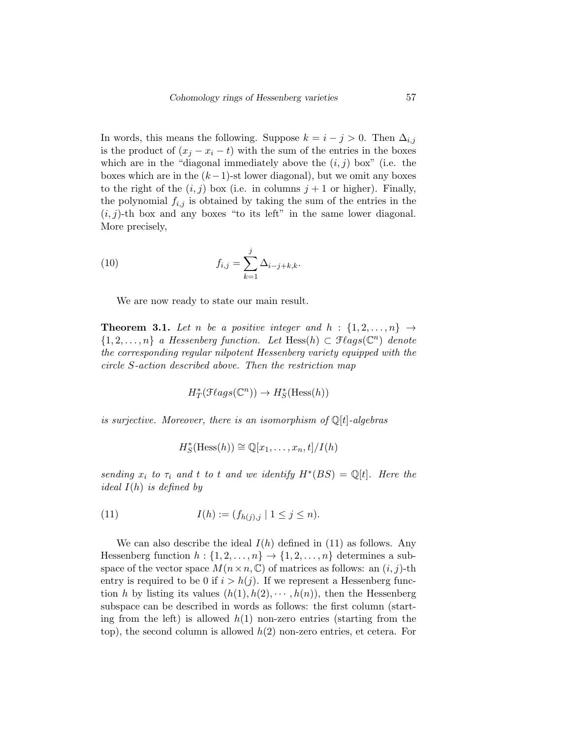In words, this means the following. Suppose  $k = i - j > 0$ . Then  $\Delta_{i,j}$ is the product of  $(x_i - x_i - t)$  with the sum of the entries in the boxes which are in the "diagonal immediately above the  $(i, j)$  box" (i.e. the boxes which are in the  $(k-1)$ -st lower diagonal), but we omit any boxes to the right of the  $(i, j)$  box (i.e. in columns  $j + 1$  or higher). Finally, the polynomial  $f_{i,j}$  is obtained by taking the sum of the entries in the  $(i, j)$ -th box and any boxes "to its left" in the same lower diagonal. More precisely,

(10) 
$$
f_{i,j} = \sum_{k=1}^{j} \Delta_{i-j+k,k}.
$$

We are now ready to state our main result.

**Theorem 3.1.** Let n be a positive integer and  $h : \{1, 2, ..., n\} \rightarrow$  $\{1, 2, \ldots, n\}$  a Hessenberg function. Let Hess $(h) \subset \mathcal{F}(\mathit{ags}(\mathbb{C}^n))$  denote the corresponding regular nilpotent Hessenberg variety equipped with the circle S-action described above. Then the restriction map

$$
H^*_T(\mathcal{F} \ellags(\mathbb{C}^n)) \to H^*_S(\text{Hess}(h))
$$

is surjective. Moreover, there is an isomorphism of  $\mathbb{Q}[t]$ -algebras

$$
H_S^*(\text{Hess}(h)) \cong \mathbb{Q}[x_1,\ldots,x_n,t]/I(h)
$$

sending  $x_i$  to  $\tau_i$  and t to t and we identify  $H^*(BS) = \mathbb{Q}[t]$ . Here the *ideal*  $I(h)$  *is defined by* 

(11) 
$$
I(h) := (f_{h(j),j} \mid 1 \leq j \leq n).
$$

We can also describe the ideal  $I(h)$  defined in (11) as follows. Any Hessenberg function  $h: \{1, 2, \ldots, n\} \to \{1, 2, \ldots, n\}$  determines a subspace of the vector space  $M(n \times n, \mathbb{C})$  of matrices as follows: an  $(i, j)$ -th entry is required to be 0 if  $i > h(j)$ . If we represent a Hessenberg function h by listing its values  $(h(1), h(2), \dots, h(n))$ , then the Hessenberg subspace can be described in words as follows: the first column (starting from the left) is allowed  $h(1)$  non-zero entries (starting from the top), the second column is allowed  $h(2)$  non-zero entries, et cetera. For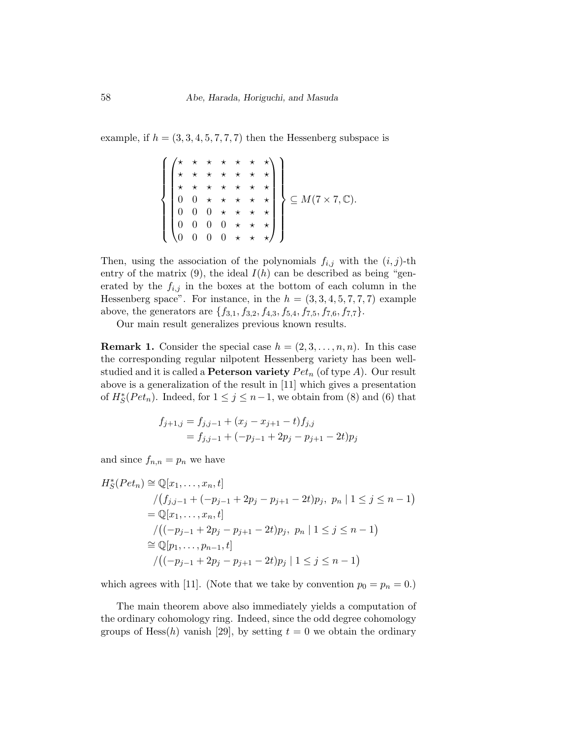example, if  $h = (3, 3, 4, 5, 7, 7, 7)$  then the Hessenberg subspace is

$$
\left\{\begin{pmatrix} \star & \star & \star & \star & \star & \star \\ \star & \star & \star & \star & \star & \star & \star \\ \star & \star & \star & \star & \star & \star & \star \\ 0 & 0 & \star & \star & \star & \star & \star \\ 0 & 0 & 0 & \star & \star & \star & \star \\ 0 & 0 & 0 & \star & \star & \star & \star \\ 0 & 0 & 0 & 0 & \star & \star & \star \end{pmatrix}\right\} \subseteq M(7 \times 7, \mathbb{C}).
$$

Then, using the association of the polynomials  $f_{i,j}$  with the  $(i, j)$ -th entry of the matrix  $(9)$ , the ideal  $I(h)$  can be described as being "generated by the  $f_{i,j}$  in the boxes at the bottom of each column in the Hessenberg space". For instance, in the  $h = (3, 3, 4, 5, 7, 7, 7)$  example above, the generators are  $\{f_{3,1}, f_{3,2}, f_{4,3}, f_{5,4}, f_{7,5}, f_{7,6}, f_{7,7}\}.$ 

Our main result generalizes previous known results.

**Remark 1.** Consider the special case  $h = (2, 3, \ldots, n, n)$ . In this case the corresponding regular nilpotent Hessenberg variety has been wellstudied and it is called a **Peterson variety**  $Pet_n$  (of type A). Our result above is a generalization of the result in [11] which gives a presentation of  $H_S^*(Pet_n)$ . Indeed, for  $1 \leq j \leq n-1$ , we obtain from (8) and (6) that

$$
f_{j+1,j} = f_{j,j-1} + (x_j - x_{j+1} - t) f_{j,j}
$$
  
=  $f_{j,j-1} + (-p_{j-1} + 2p_j - p_{j+1} - 2t)p_j$ 

and since  $f_{n,n} = p_n$  we have

$$
H_S^*(Pet_n) \cong \mathbb{Q}[x_1, \dots, x_n, t]
$$
  
\n
$$
/(f_{j,j-1} + (-p_{j-1} + 2p_j - p_{j+1} - 2t)p_j, p_n | 1 \le j \le n - 1)
$$
  
\n
$$
= \mathbb{Q}[x_1, \dots, x_n, t]
$$
  
\n
$$
/((-p_{j-1} + 2p_j - p_{j+1} - 2t)p_j, p_n | 1 \le j \le n - 1)
$$
  
\n
$$
\cong \mathbb{Q}[p_1, \dots, p_{n-1}, t]
$$
  
\n
$$
/((-p_{j-1} + 2p_j - p_{j+1} - 2t)p_j | 1 \le j \le n - 1)
$$

which agrees with [11]. (Note that we take by convention  $p_0 = p_n = 0.$ )

The main theorem above also immediately yields a computation of the ordinary cohomology ring. Indeed, since the odd degree cohomology groups of Hess $(h)$  vanish [29], by setting  $t = 0$  we obtain the ordinary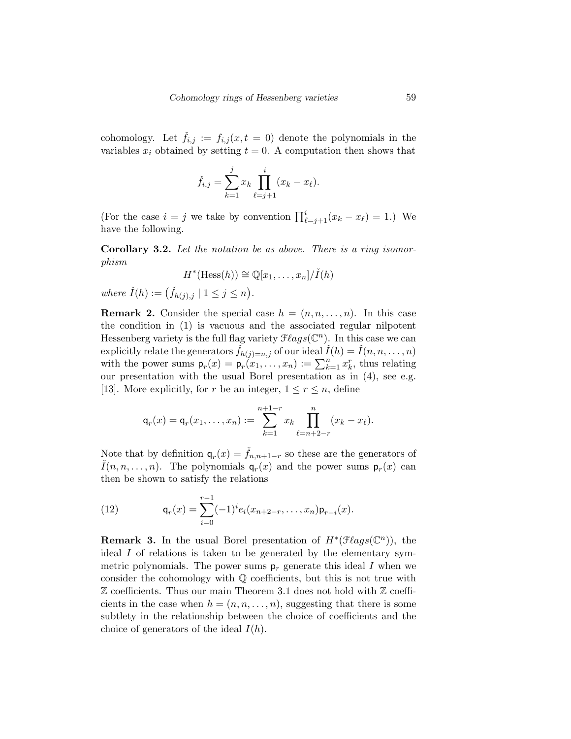cohomology. Let  $f_{i,j} := f_{i,j}(x, t = 0)$  denote the polynomials in the variables  $x_i$  obtained by setting  $t = 0$ . A computation then shows that

$$
\check{f}_{i,j} = \sum_{k=1}^{j} x_k \prod_{\ell=j+1}^{i} (x_k - x_{\ell}).
$$

(For the case  $i = j$  we take by convention  $\prod_{\ell=j+1}^{i} (x_k - x_\ell) = 1$ .) We have the following.

Corollary 3.2. Let the notation be as above. There is a ring isomorphism

$$
H^*(\text{Hess}(h)) \cong \mathbb{Q}[x_1,\ldots,x_n]/\check{I}(h)
$$

where  $\check{I}(h) := (\check{f}_{h(j),j} \mid 1 \leq j \leq n).$ 

**Remark 2.** Consider the special case  $h = (n, n, \ldots, n)$ . In this case the condition in (1) is vacuous and the associated regular nilpotent Hessenberg variety is the full flag variety  $\mathcal{F} \ell agg(\mathbb{C}^n)$ . In this case we can explicitly relate the generators  $\check{f}_{h(j)=n,j}$  of our ideal  $\check{I}(h) = \check{I}(n, n, \ldots, n)$ with the power sums  $p_r(x) = p_r(x_1,...,x_n) := \sum_{k=1}^n x_k^r$ , thus relating our presentation with the usual Borel presentation as in (4), see e.g. [13]. More explicitly, for r be an integer,  $1 \leq r \leq n$ , define

$$
\mathsf{q}_r(x) = \mathsf{q}_r(x_1, \dots, x_n) := \sum_{k=1}^{n+1-r} x_k \prod_{\ell=n+2-r}^n (x_k - x_\ell).
$$

Note that by definition  $q_r(x) = \check{f}_{n,n+1-r}$  so these are the generators of  $\check{I}(n, n, \ldots, n)$ . The polynomials  $q_r(x)$  and the power sums  $p_r(x)$  can then be shown to satisfy the relations

(12) 
$$
\mathsf{q}_r(x) = \sum_{i=0}^{r-1} (-1)^i e_i(x_{n+2-r}, \dots, x_n) \mathsf{p}_{r-i}(x).
$$

**Remark 3.** In the usual Borel presentation of  $H^*(\mathcal{F}lags(\mathbb{C}^n))$ , the ideal I of relations is taken to be generated by the elementary symmetric polynomials. The power sums  $p_r$  generate this ideal I when we consider the cohomology with Q coefficients, but this is not true with  $\mathbb Z$  coefficients. Thus our main Theorem 3.1 does not hold with  $\mathbb Z$  coefficients in the case when  $h = (n, n, \ldots, n)$ , suggesting that there is some subtlety in the relationship between the choice of coefficients and the choice of generators of the ideal  $I(h)$ .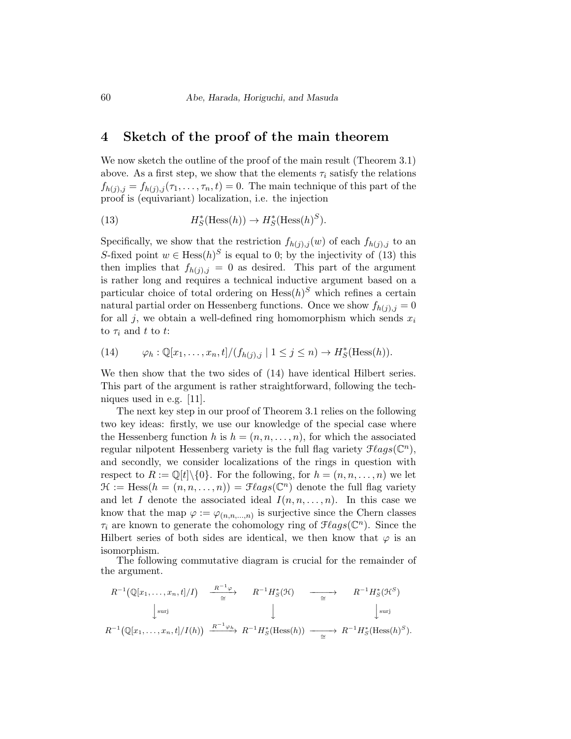### 4 Sketch of the proof of the main theorem

We now sketch the outline of the proof of the main result (Theorem 3.1) above. As a first step, we show that the elements  $\tau_i$  satisfy the relations  $f_{h(i),j} = f_{h(i),j}(\tau_1,\ldots,\tau_n,t) = 0$ . The main technique of this part of the proof is (equivariant) localization, i.e. the injection

(13) 
$$
H_S^*(\text{Hess}(h)) \to H_S^*(\text{Hess}(h)^S).
$$

Specifically, we show that the restriction  $f_{h(j),j}(w)$  of each  $f_{h(j),j}$  to an S-fixed point  $w \in Hess(h)^S$  is equal to 0; by the injectivity of (13) this then implies that  $f_{h(j),j} = 0$  as desired. This part of the argument is rather long and requires a technical inductive argument based on a particular choice of total ordering on  $Hess(h)^S$  which refines a certain natural partial order on Hessenberg functions. Once we show  $f_{h(j),j} = 0$ for all j, we obtain a well-defined ring homomorphism which sends  $x_i$ to  $\tau_i$  and t to t:

(14) 
$$
\varphi_h : \mathbb{Q}[x_1,\ldots,x_n,t]/(f_{h(j),j} \mid 1 \leq j \leq n) \to H_S^*(\text{Hess}(h)).
$$

We then show that the two sides of (14) have identical Hilbert series. This part of the argument is rather straightforward, following the techniques used in e.g. [11].

The next key step in our proof of Theorem 3.1 relies on the following two key ideas: firstly, we use our knowledge of the special case where the Hessenberg function h is  $h = (n, n, \ldots, n)$ , for which the associated regular nilpotent Hessenberg variety is the full flag variety  $\mathcal{F} \ell agg(\mathbb{C}^n)$ , and secondly, we consider localizations of the rings in question with respect to  $R := \mathbb{Q}[t] \setminus \{0\}$ . For the following, for  $h = (n, n, \ldots, n)$  we let  $\mathcal{H} := \text{Hess}(h = (n, n, \dots, n)) = \mathcal{F} \ellags(\mathbb{C}^n)$  denote the full flag variety and let I denote the associated ideal  $I(n, n, \ldots, n)$ . In this case we know that the map  $\varphi := \varphi_{(n,n,...,n)}$  is surjective since the Chern classes  $\tau_i$  are known to generate the cohomology ring of  $\mathcal{F} \ellags(\mathbb{C}^n)$ . Since the Hilbert series of both sides are identical, we then know that  $\varphi$  is an isomorphism.

The following commutative diagram is crucial for the remainder of the argument.

$$
R^{-1}(\mathbb{Q}[x_1,\ldots,x_n,t]/I) \xrightarrow{\qquad R^{-1}\varphi} R^{-1}H_S^*(\mathfrak{H}) \xrightarrow{\qquad \qquad} R^{-1}H_S^*(\mathfrak{H}^S)
$$
  
\n
$$
\downarrow^{\text{surj}} \qquad \qquad \downarrow^{\qquad \qquad \downarrow^{\text{surj}}} \qquad \qquad \downarrow^{\text{surj}}
$$
  
\n
$$
R^{-1}(\mathbb{Q}[x_1,\ldots,x_n,t]/I(h)) \xrightarrow{R^{-1}\varphi_h} R^{-1}H_S^*(\text{Hess}(h)) \xrightarrow{\qquad \qquad \cong} R^{-1}H_S^*(\text{Hess}(h)^S).
$$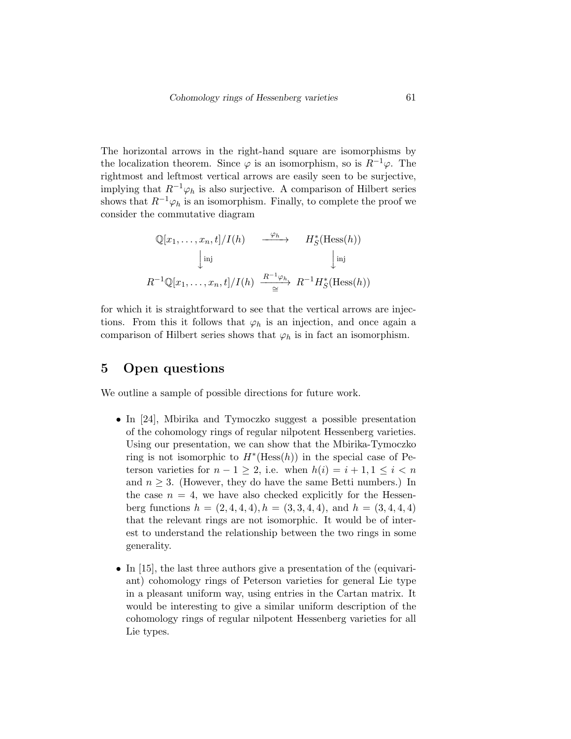The horizontal arrows in the right-hand square are isomorphisms by the localization theorem. Since  $\varphi$  is an isomorphism, so is  $R^{-1}\varphi$ . The rightmost and leftmost vertical arrows are easily seen to be surjective, implying that  $R^{-1}\varphi_h$  is also surjective. A comparison of Hilbert series shows that  $R^{-1}\varphi_h$  is an isomorphism. Finally, to complete the proof we consider the commutative diagram

$$
\mathbb{Q}[x_1, \dots, x_n, t]/I(h) \xrightarrow{\varphi_h} H_S^*(\text{Hess}(h))
$$
  
\n
$$
\downarrow \text{inj} \qquad \qquad \downarrow \text{inj}
$$
  
\n
$$
R^{-1}\mathbb{Q}[x_1, \dots, x_n, t]/I(h) \xrightarrow{R^{-1}\varphi_h} R^{-1}H_S^*(\text{Hess}(h))
$$

for which it is straightforward to see that the vertical arrows are injections. From this it follows that  $\varphi_h$  is an injection, and once again a comparison of Hilbert series shows that  $\varphi_h$  is in fact an isomorphism.

# 5 Open questions

We outline a sample of possible directions for future work.

- In [24], Mbirika and Tymoczko suggest a possible presentation of the cohomology rings of regular nilpotent Hessenberg varieties. Using our presentation, we can show that the Mbirika-Tymoczko ring is not isomorphic to  $H^*(\text{Hess}(h))$  in the special case of Peterson varieties for  $n - 1 > 2$ , i.e. when  $h(i) = i + 1, 1 \le i \le n$ and  $n \geq 3$ . (However, they do have the same Betti numbers.) In the case  $n = 4$ , we have also checked explicitly for the Hessenberg functions  $h = (2, 4, 4, 4), h = (3, 3, 4, 4),$  and  $h = (3, 4, 4, 4)$ that the relevant rings are not isomorphic. It would be of interest to understand the relationship between the two rings in some generality.
- In [15], the last three authors give a presentation of the (equivariant) cohomology rings of Peterson varieties for general Lie type in a pleasant uniform way, using entries in the Cartan matrix. It would be interesting to give a similar uniform description of the cohomology rings of regular nilpotent Hessenberg varieties for all Lie types.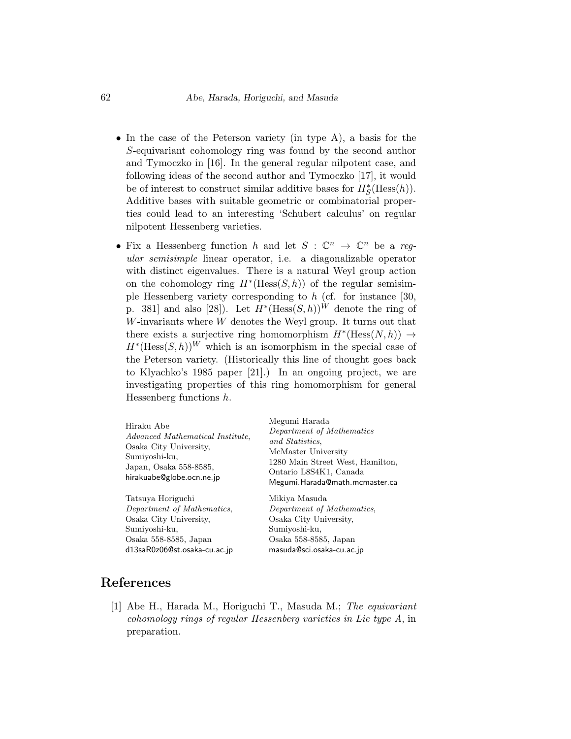- In the case of the Peterson variety (in type A), a basis for the S-equivariant cohomology ring was found by the second author and Tymoczko in [16]. In the general regular nilpotent case, and following ideas of the second author and Tymoczko [17], it would be of interest to construct similar additive bases for  $H^*_{\mathcal{S}}(\text{Hess}(h)).$ Additive bases with suitable geometric or combinatorial properties could lead to an interesting 'Schubert calculus' on regular nilpotent Hessenberg varieties.
- Fix a Hessenberg function h and let  $S : \mathbb{C}^n \to \mathbb{C}^n$  be a regular semisimple linear operator, i.e. a diagonalizable operator with distinct eigenvalues. There is a natural Weyl group action on the cohomology ring  $H^*(\text{Hess}(S,h))$  of the regular semisimple Hessenberg variety corresponding to  $h$  (cf. for instance [30, p. 381 and also [28]). Let  $H^*(\text{Hess}(S,h))^W$  denote the ring of W-invariants where W denotes the Weyl group. It turns out that there exists a surjective ring homomorphism  $H^*(\text{Hess}(N, h)) \to$  $H^*(\text{Hess}(S,h))^W$  which is an isomorphism in the special case of the Peterson variety. (Historically this line of thought goes back to Klyachko's 1985 paper [21].) In an ongoing project, we are investigating properties of this ring homomorphism for general Hessenberg functions h.

| Hiraku Abe<br>Advanced Mathematical Institute.<br>Osaka City University,<br>Sumiyoshi-ku,<br>Japan, Osaka 558-8585,<br>hirakuabe@globe.ocn.ne.jp | Megumi Harada<br>Department of Mathematics<br>and Statistics.<br>McMaster University<br>1280 Main Street West, Hamilton,<br>Ontario L8S4K1, Canada<br>Megumi.Harada@math.mcmaster.ca |
|--------------------------------------------------------------------------------------------------------------------------------------------------|--------------------------------------------------------------------------------------------------------------------------------------------------------------------------------------|
| Tatsuva Horiguchi                                                                                                                                | Mikiya Masuda                                                                                                                                                                        |
| Department of Mathematics,                                                                                                                       | Department of Mathematics,                                                                                                                                                           |
| Osaka City University,                                                                                                                           | Osaka City University,                                                                                                                                                               |
| Sumiyoshi-ku,                                                                                                                                    | Sumiyoshi-ku,                                                                                                                                                                        |
| Osaka 558-8585, Japan                                                                                                                            | Osaka 558-8585, Japan                                                                                                                                                                |
| d13saR0z06@st.osaka-cu.ac.jp                                                                                                                     | masuda@sci.osaka-cu.ac.jp                                                                                                                                                            |

#### References

[1] Abe H., Harada M., Horiguchi T., Masuda M.; The equivariant cohomology rings of regular Hessenberg varieties in Lie type A, in preparation.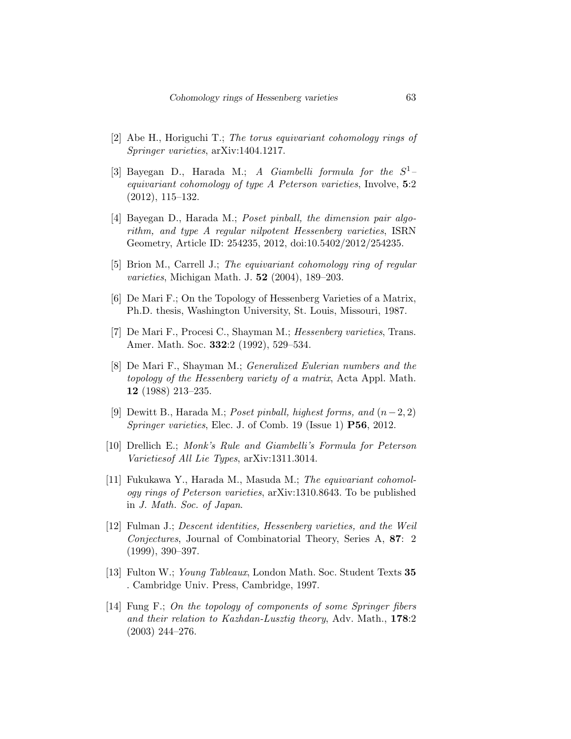- [2] Abe H., Horiguchi T.; The torus equivariant cohomology rings of Springer varieties, arXiv:1404.1217.
- [3] Bayegan D., Harada M.; A Giambelli formula for the  $S^1$ equivariant cohomology of type A Peterson varieties, Involve, 5:2 (2012), 115–132.
- [4] Bayegan D., Harada M.; Poset pinball, the dimension pair algorithm, and type A regular nilpotent Hessenberg varieties, ISRN Geometry, Article ID: 254235, 2012, doi:10.5402/2012/254235.
- [5] Brion M., Carrell J.; The equivariant cohomology ring of regular varieties, Michigan Math. J. 52 (2004), 189–203.
- [6] De Mari F.; On the Topology of Hessenberg Varieties of a Matrix, Ph.D. thesis, Washington University, St. Louis, Missouri, 1987.
- [7] De Mari F., Procesi C., Shayman M.; Hessenberg varieties, Trans. Amer. Math. Soc. 332:2 (1992), 529–534.
- [8] De Mari F., Shayman M.; Generalized Eulerian numbers and the topology of the Hessenberg variety of a matrix, Acta Appl. Math. 12 (1988) 213–235.
- [9] Dewitt B., Harada M.; Poset pinball, highest forms, and  $(n-2, 2)$ Springer varieties, Elec. J. of Comb. 19 (Issue 1) P56, 2012.
- [10] Drellich E.; Monk's Rule and Giambelli's Formula for Peterson Varietiesof All Lie Types, arXiv:1311.3014.
- [11] Fukukawa Y., Harada M., Masuda M.; The equivariant cohomology rings of Peterson varieties, arXiv:1310.8643. To be published in J. Math. Soc. of Japan.
- [12] Fulman J.; Descent identities, Hessenberg varieties, and the Weil Conjectures, Journal of Combinatorial Theory, Series A, 87: 2 (1999), 390–397.
- [13] Fulton W.; Young Tableaux, London Math. Soc. Student Texts 35 . Cambridge Univ. Press, Cambridge, 1997.
- [14] Fung F.; On the topology of components of some Springer fibers and their relation to Kazhdan-Lusztig theory, Adv. Math., 178:2 (2003) 244–276.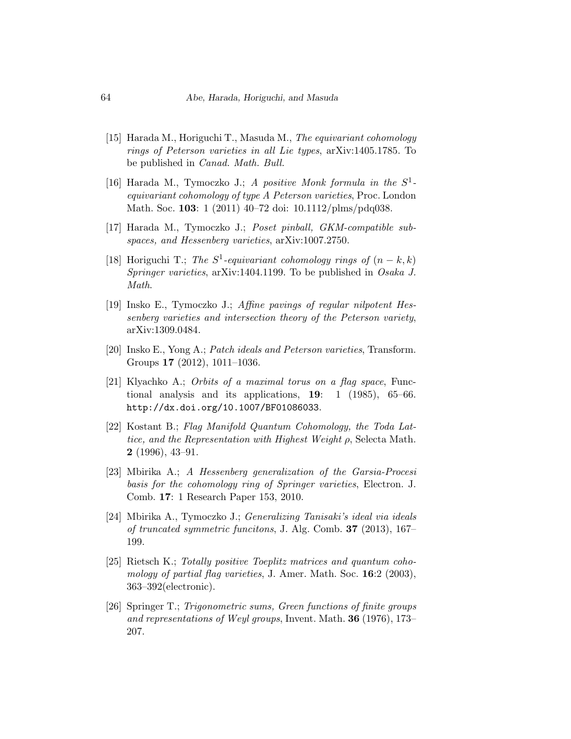- [15] Harada M., Horiguchi T., Masuda M., The equivariant cohomology rings of Peterson varieties in all Lie types, arXiv:1405.1785. To be published in Canad. Math. Bull.
- [16] Harada M., Tymoczko J.; A positive Monk formula in the  $S^1$ equivariant cohomology of type A Peterson varieties, Proc. London Math. Soc. 103: 1 (2011) 40–72 doi: 10.1112/plms/pdq038.
- [17] Harada M., Tymoczko J.; Poset pinball, GKM-compatible subspaces, and Hessenberg varieties, arXiv:1007.2750.
- [18] Horiguchi T.; The  $S^1$ -equivariant cohomology rings of  $(n-k, k)$ Springer varieties, arXiv:1404.1199. To be published in Osaka J. Math.
- [19] Insko E., Tymoczko J.; Affine pavings of regular nilpotent Hessenberg varieties and intersection theory of the Peterson variety, arXiv:1309.0484.
- [20] Insko E., Yong A.; Patch ideals and Peterson varieties, Transform. Groups 17 (2012), 1011–1036.
- [21] Klyachko A.; Orbits of a maximal torus on a flag space, Functional analysis and its applications, 19: 1 (1985), 65–66. http://dx.doi.org/10.1007/BF01086033.
- [22] Kostant B.; Flag Manifold Quantum Cohomology, the Toda Lattice, and the Representation with Highest Weight  $\rho$ , Selecta Math. 2 (1996), 43–91.
- [23] Mbirika A.; A Hessenberg generalization of the Garsia-Procesi basis for the cohomology ring of Springer varieties, Electron. J. Comb. 17: 1 Research Paper 153, 2010.
- [24] Mbirika A., Tymoczko J.; Generalizing Tanisaki's ideal via ideals of truncated symmetric funcitons, J. Alg. Comb. 37 (2013), 167– 199.
- [25] Rietsch K.; Totally positive Toeplitz matrices and quantum cohomology of partial flag varieties, J. Amer. Math. Soc. 16:2 (2003), 363–392(electronic).
- [26] Springer T.; Trigonometric sums, Green functions of finite groups and representations of Weyl groups, Invent. Math. 36 (1976), 173– 207.